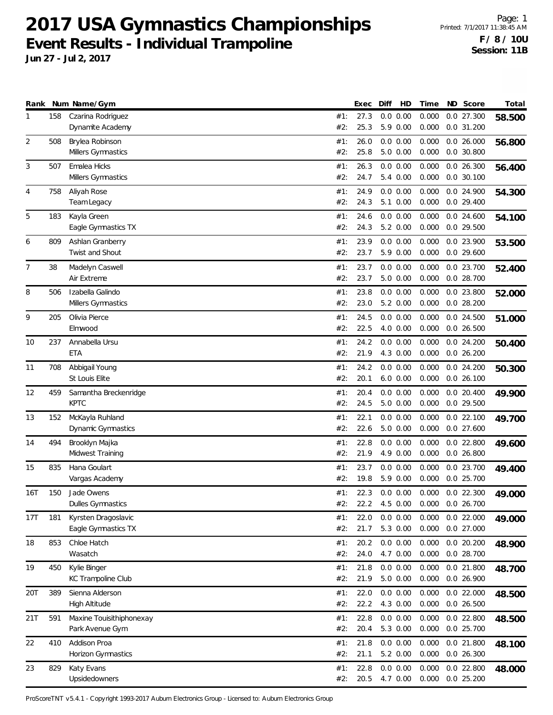**Jun 27 - Jul 2, 2017**

|     |     | Rank Num Name/Gym                          |            | Exec         | Diff<br>HD           | Time           | ND Score                   | Total  |
|-----|-----|--------------------------------------------|------------|--------------|----------------------|----------------|----------------------------|--------|
| 1   | 158 | Czarina Rodriguez                          | #1:        | 27.3         | 0.0 0.00             | 0.000          | 0.0 27.300                 | 58.500 |
|     |     | Dynamite Academy                           | #2:        | 25.3         | 5.9 0.00             | 0.000          | 0.0 31.200                 |        |
| 2   | 508 | Brylea Robinson<br>Millers Gymnastics      | #1:<br>#2: | 26.0<br>25.8 | 0.0 0.00<br>5.0 0.00 | 0.000<br>0.000 | 0.026.000<br>$0.0$ 30.800  | 56.800 |
| 3   | 507 | Emalea Hicks                               | #1:        | 26.3         | 0.0 0.00             | 0.000          | 0.0 26.300                 | 56.400 |
|     |     | Millers Gymnastics                         | #2:        | 24.7         | 5.4 0.00             | 0.000          | $0.0$ 30.100               |        |
| 4   | 758 | Aliyah Rose                                | #1:        | 24.9         | 0.0 0.00             | 0.000          | 0.0 24.900                 | 54.300 |
|     |     | Team Legacy                                | #2:        | 24.3         | 5.1 0.00             | 0.000          | $0.0$ 29.400               |        |
| 5   | 183 | Kayla Green                                | #1:        | 24.6         | 0.0 0.00             | 0.000          | $0.0$ 24.600               | 54.100 |
|     |     | Eagle Gymnastics TX                        | #2:        | 24.3         | 5.2 0.00             | 0.000          | 0.0 29.500                 |        |
| 6   | 809 | Ashlan Granberry                           | #1:        | 23.9         | 0.0 0.00             | 0.000          | 0.0 23.900                 | 53.500 |
|     |     | Twist and Shout                            | #2:        | 23.7         | 5.9 0.00             | 0.000          | 0.0 29.600                 |        |
| 7   | 38  | Madelyn Caswell                            | #1:        | 23.7         | 0.0 0.00             | 0.000          | 0.0 23.700                 | 52.400 |
|     |     | Air Extreme                                | #2:        | 23.7         | 5.0 0.00             | 0.000          | $0.0$ 28.700               |        |
| 8   | 506 | Izabella Galindo                           | #1:        | 23.8         | 0.0 0.00             | 0.000          | 0.0 23.800                 | 52.000 |
|     |     | Millers Gymnastics                         | #2:        | 23.0         | $5.2 \ 0.00$         | 0.000          | 0.028.200                  |        |
| 9   | 205 | Olivia Pierce<br>Elmwood                   | #1:<br>#2: | 24.5<br>22.5 | 0.0 0.00<br>4.0 0.00 | 0.000<br>0.000 | 0.0 24.500<br>$0.0$ 26.500 | 51.000 |
|     |     |                                            |            |              |                      |                |                            |        |
| 10  | 237 | Annabella Ursu<br>ETA                      | #1:<br>#2: | 24.2<br>21.9 | 0.0 0.00<br>4.3 0.00 | 0.000<br>0.000 | $0.0$ 24.200<br>0.026.200  | 50.400 |
| 11  | 708 | Abbigail Young                             | #1:        | 24.2         | 0.0 0.00             | 0.000          | 0.024.200                  |        |
|     |     | St Louis Elite                             | #2:        | 20.1         | $6.0\ 0.00$          | 0.000          | 0.026.100                  | 50.300 |
| 12  | 459 | Samantha Breckenridge                      | #1:        | 20.4         | 0.0 0.00             | 0.000          | $0.0$ 20.400               | 49.900 |
|     |     | <b>KPTC</b>                                | #2:        | 24.5         | 5.0 0.00             | 0.000          | 0.0 29.500                 |        |
| 13  | 152 | McKayla Ruhland                            | #1:        | 22.1         | 0.0 0.00             | 0.000          | $0.0$ 22.100               | 49.700 |
|     |     | Dynamic Gymnastics                         | #2:        | 22.6         | 5.0 0.00             | 0.000          | $0.0$ 27.600               |        |
| 14  | 494 | Brooklyn Majka                             | #1:        | 22.8         | 0.0 0.00             | 0.000          | $0.0$ 22.800               | 49.600 |
|     |     | Midwest Training                           | #2:        | 21.9         | 4.9 0.00             | 0.000          | 0.026.800                  |        |
| 15  | 835 | Hana Goulart                               | #1:        | 23.7         | 0.0 0.00             | 0.000          | 0.0 23.700                 | 49.400 |
|     |     | Vargas Academy                             | #2:        | 19.8         | 5.9 0.00             | 0.000          | 0.0 25.700                 |        |
| 16T | 150 | Jade Owens                                 | #1:        | 22.3         | 0.0 0.00             | 0.000          | $0.0$ 22.300               | 49.000 |
|     |     | Dulles Gymnastics                          | #2:        | 22.2         | 4.5 0.00             | 0.000          | 0.0 26.700                 |        |
| 17T | 181 | Kyrsten Dragoslavic<br>Eagle Gymnastics TX | #1:<br>#2: | 22.0<br>21.7 | 0.0 0.00<br>5.3 0.00 | 0.000<br>0.000 | $0.0$ 22.000<br>0.0 27.000 | 49.000 |
| 18  | 853 | Chloe Hatch                                | #1:        | 20.2         | $0.0\ 0.00$          | 0.000          | $0.0$ 20.200               |        |
|     |     | Wasatch                                    | #2:        | 24.0         | 4.7 0.00             | 0.000          | 0.0 28.700                 | 48.900 |
| 19  | 450 | Kylie Binger                               | #1:        | 21.8         | $0.0\ 0.00$          | 0.000          | 0.0 21.800                 | 48.700 |
|     |     | KC Trampoline Club                         | #2:        | 21.9         | $5.0\ 0.00$          | 0.000          | 0.0 26.900                 |        |
| 20T | 389 | Sienna Alderson                            | #1:        | 22.0         | 0.0 0.00             | 0.000          | 0.0 22.000                 | 48.500 |
|     |     | High Altitude                              | #2:        | 22.2         | 4.3 0.00             | 0.000          | $0.0$ 26.500               |        |
| 21T | 591 | Maxine Touisithiphonexay                   | #1:        | 22.8         | 0.0 0.00             | 0.000          | 0.0 22.800                 | 48.500 |
|     |     | Park Avenue Gym                            | #2:        | 20.4         | 5.3 0.00             | 0.000          | 0.0 25.700                 |        |
| 22  | 410 | Addison Proa                               | #1:        | 21.8         | 0.0 0.00             | 0.000          | 0.0 21.800                 | 48.100 |
|     |     | Horizon Gymnastics                         | #2:        | 21.1         | 5.2 0.00             | 0.000          | 0.0 26.300                 |        |
| 23  | 829 | Katy Evans                                 | #1:        | 22.8         | 0.0 0.00             | 0.000          | 0.0 22.800                 | 48.000 |
|     |     | Upsidedowners                              | #2:        | 20.5         | 4.7 0.00             | 0.000          | 0.0 25.200                 |        |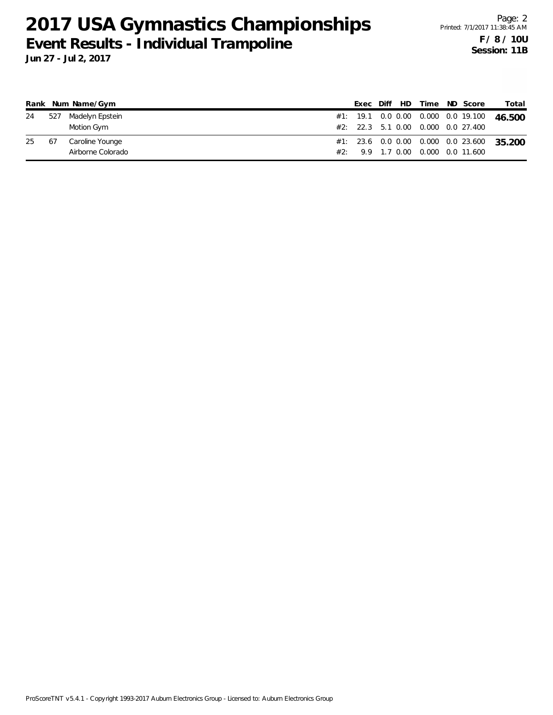|    |    | Rank Num Name/Gym   |  |  |  | Exec Diff HD Time ND Score         | Total                                     |
|----|----|---------------------|--|--|--|------------------------------------|-------------------------------------------|
| 24 |    | 527 Madelyn Epstein |  |  |  |                                    | #1: 19.1 0.0 0.00 0.000 0.0 19.100 46.500 |
|    |    | Motion Gym          |  |  |  | #2: 22.3 5.1 0.00 0.000 0.0 27.400 |                                           |
| 25 | 67 | Caroline Younge     |  |  |  |                                    | #1: 23.6 0.0 0.00 0.000 0.0 23.600 35.200 |
|    |    | Airborne Colorado   |  |  |  | #2: 9.9 1.7 0.00 0.000 0.0 11.600  |                                           |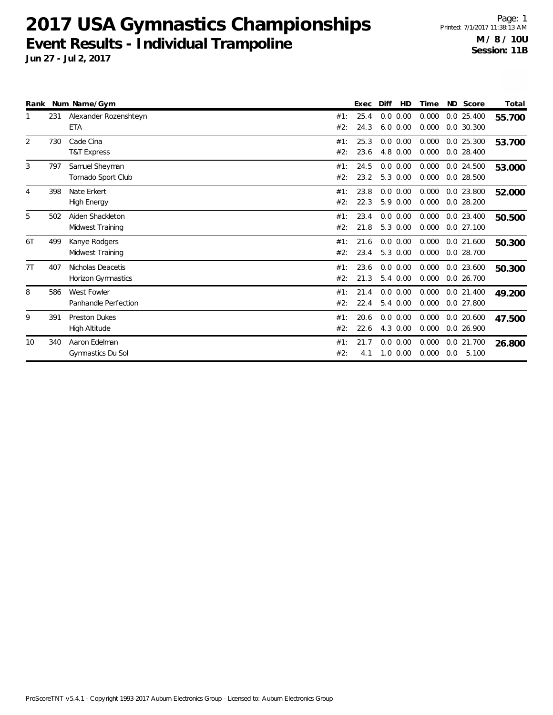| Rank |     | Num Name/Gym                            |            | Exec         | Diff<br>HD                   | Time           | ND Score                     | Total  |
|------|-----|-----------------------------------------|------------|--------------|------------------------------|----------------|------------------------------|--------|
|      | 231 | Alexander Rozenshteyn<br><b>ETA</b>     | #1:<br>#2: | 25.4<br>24.3 | $0.0$ $0.00$<br>$6.0 \ 0.00$ | 0.000<br>0.000 | $0.0$ 25.400<br>$0.0$ 30.300 | 55.700 |
| 2    | 730 | Cade Cina<br><b>T&amp;T Express</b>     | #1:<br>#2: | 25.3<br>23.6 | 0.0 0.00<br>4.8 0.00         | 0.000<br>0.000 | $0.0$ 25.300<br>$0.0$ 28.400 | 53.700 |
| 3    | 797 | Samuel Sheyman<br>Tornado Sport Club    | #1:<br>#2: | 24.5<br>23.2 | 0.0 0.00<br>5.3 0.00         | 0.000<br>0.000 | $0.0$ 24.500<br>$0.0$ 28.500 | 53.000 |
| 4    | 398 | Nate Erkert<br><b>High Energy</b>       | #1:<br>#2: | 23.8<br>22.3 | 0.0 0.00<br>5.9 0.00         | 0.000<br>0.000 | $0.0$ 23.800<br>$0.0$ 28.200 | 52.000 |
| 5    | 502 | Aiden Shackleton<br>Midwest Training    | #1:<br>#2: | 23.4<br>21.8 | 0.0 0.00<br>5.3 0.00         | 0.000<br>0.000 | $0.0$ 23.400<br>$0.0$ 27.100 | 50.500 |
| 6T   | 499 | Kanye Rodgers<br>Midwest Training       | #1:<br>#2: | 21.6<br>23.4 | 0.0 0.00<br>5.3 0.00         | 0.000<br>0.000 | $0.0$ 21.600<br>0.0 28.700   | 50.300 |
| 7T   | 407 | Nicholas Deacetis<br>Horizon Gymnastics | #1:<br>#2: | 23.6<br>21.3 | $0.0\ 0.00$<br>5.4 0.00      | 0.000<br>0.000 | $0.0$ 23.600<br>$0.0$ 26.700 | 50.300 |
| 8    | 586 | West Fowler<br>Panhandle Perfection     | #1:<br>#2: | 21.4<br>22.4 | 0.0 0.00<br>5.4 0.00         | 0.000<br>0.000 | $0.0$ 21.400<br>$0.0$ 27.800 | 49.200 |
| 9    | 391 | <b>Preston Dukes</b><br>High Altitude   | #1:<br>#2: | 20.6<br>22.6 | 0.0 0.00<br>4.3 0.00         | 0.000<br>0.000 | $0.0$ 20.600<br>0.026.900    | 47.500 |
| 10   | 340 | Aaron Edelman<br>Gymnastics Du Sol      | #1:<br>#2: | 21.7<br>4.1  | 0.0 0.00<br>$1.0 \ 0.00$     | 0.000<br>0.000 | 0.0 21.700<br>5.100<br>0.0   | 26.800 |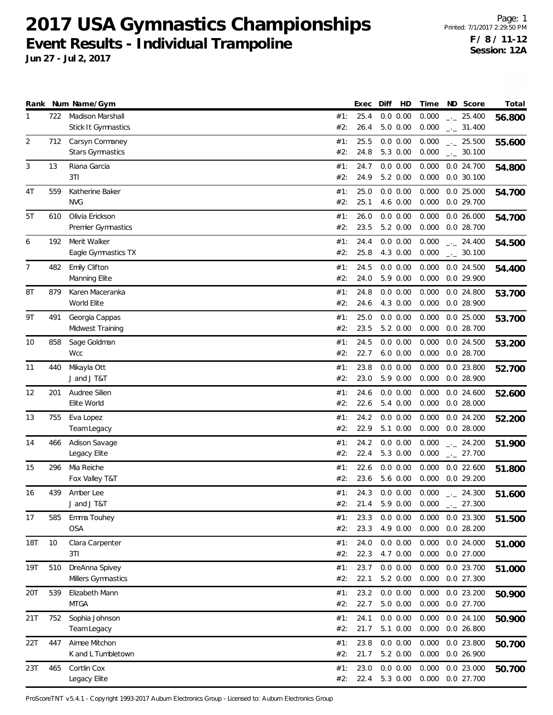**Jun 27 - Jul 2, 2017**

|                |            | Rank Num Name/Gym                              |                   | Exec                 | Diff                             | HD | Time                    | ND Score                                 | Total  |
|----------------|------------|------------------------------------------------|-------------------|----------------------|----------------------------------|----|-------------------------|------------------------------------------|--------|
| 1              | 722        | Madison Marshall<br>Stick It Gymnastics        | #1:<br>#2:        | 25.4<br>26.4         | 0.0 0.00<br>$5.0\ 0.00$          |    | 0.000<br>0.000          | $-25.400$<br>$\frac{1}{2}$ 31.400        | 56.800 |
| $\overline{2}$ | 712        | Carsyn Cormaney<br><b>Stars Gymnastics</b>     | #1:<br>#2:        | 25.5<br>24.8         | 0.0 0.00<br>5.3 0.00             |    | 0.000<br>0.000          | $-25.500$<br>$_{-}$ 30.100               | 55.600 |
| 3              | 13         | Riana Garcia<br>3T1                            | #1:<br>#2:        | 24.7<br>24.9         | 0.0 0.00<br>5.2 0.00             |    | 0.000<br>0.000          | 0.0 24.700<br>$0.0$ 30.100               | 54.800 |
| 4T             | 559        | Katherine Baker<br><b>NVG</b>                  | #1:<br>#2:        | 25.0<br>25.1         | 0.0 0.00<br>4.6 0.00             |    | 0.000<br>0.000          | $0.0$ 25.000<br>0.0 29.700               | 54.700 |
| 5T             | 610        | Olivia Erickson<br>Premier Gymnastics          | #1:<br>#2:        | 26.0<br>23.5         | 0.0 0.00<br>5.2 0.00             |    | 0.000<br>0.000          | $0.0$ 26.000<br>$0.0$ 28.700             | 54.700 |
| 6              | 192        | Merit Walker<br>Eagle Gymnastics TX            | #1:<br>#2:        | 24.4<br>25.8         | 0.0 0.00<br>4.3 0.00             |    | 0.000<br>0.000          | $-24.400$<br>$\frac{1}{2}$ 30.100        | 54.500 |
| 7              | 482        | Emily Clifton<br>Manning Elite                 | #1:<br>#2:        | 24.5<br>24.0         | 0.0 0.00<br>5.9 0.00             |    | 0.000<br>0.000          | $0.0$ 24.500<br>$0.0$ 29.900             | 54.400 |
| 8T             | 879        | Karen Maceranka<br>World Elite                 | #1:<br>#2:        | 24.8<br>24.6         | 0.0 0.00<br>4.3 0.00             |    | 0.000<br>0.000          | $0.0$ 24.800<br>$0.0$ 28.900             | 53.700 |
| 9T             | 491        | Georgia Cappas<br>Midwest Training             | #1:<br>#2:        | 25.0<br>23.5         | 0.0 0.00<br>5.2 0.00             |    | 0.000<br>0.000          | $0.0$ 25.000<br>$0.0$ 28.700             | 53.700 |
| 10             | 858        | Sage Goldman<br><b>Wcc</b>                     | #1:<br>#2:        | 24.5<br>22.7         | 0.0 0.00<br>$6.0\ 0.00$          |    | 0.000<br>0.000          | $0.0$ 24.500<br>$0.0$ 28.700             | 53.200 |
| 11             | 440        | Mikayla Ott<br>J and J T&T                     | #1:<br>#2:        | 23.8<br>23.0         | 0.0 0.00<br>5.9 0.00             |    | 0.000<br>0.000          | $0.0$ 23.800<br>0.0 28.900               | 52.700 |
| 12             | 201        | Audree Silien<br>Elite World                   | #1:<br>#2:        | 24.6<br>22.6         | 0.0 0.00<br>5.4 0.00             |    | 0.000<br>0.000          | $0.0$ 24.600<br>$0.0$ 28.000             | 52.600 |
| 13             | 755        | Eva Lopez<br>Team Legacy                       | #1:<br>#2:        | 24.2<br>22.9         | 0.0 0.00<br>5.1 0.00             |    | 0.000<br>0.000          | $0.0$ 24.200<br>0.028.000                | 52.200 |
| 14             | 466        | Adison Savage<br>Legacy Elite                  | #1:<br>#2:        | 24.2<br>22.4         | 0.0 0.00<br>5.3 0.00             |    | 0.000<br>0.000          | $-24.200$<br>$-27.700$                   | 51.900 |
| 15             | 296        | Mia Reiche<br>Fox Valley T&T                   | #1:<br>#2:        | 22.6<br>23.6         | 0.0 0.00<br>5.6 0.00             |    | 0.000<br>0.000          | $0.0$ 22.600<br>0.029.200                | 51.800 |
| 16             | 439        | Amber Lee<br>J and J T&T                       | #1:<br>#2:        | 24.3<br>21.4         | 0.0 0.00<br>5.9 0.00             |    | 0.000<br>0.000          | $-24.300$<br>27.300<br>$-1$              | 51.600 |
| 17             | 585        | Emma Touhey<br><b>OSA</b>                      | #1:<br>#2:        | 23.3<br>23.3         | 0.0 0.00<br>4.9 0.00             |    | 0.000<br>0.000          | $0.0$ 23.300<br>0.0 28.200               | 51.500 |
| 18T            | 10         | Clara Carpenter<br>3T1                         | #1:<br>#2:        | 24.0<br>22.3         | 0.0 0.00<br>4.7 0.00             |    | 0.000<br>0.000          | $0.0$ 24.000<br>$0.0$ 27.000             | 51.000 |
| 19T            | 510        | DreAnna Spivey<br>Millers Gymnastics           | #1:<br>#2:        | 23.7<br>22.1         | 0.0 0.00<br>5.2 0.00             |    | 0.000<br>0.000          | 0.0 23.700<br>0.0 27.300                 | 51.000 |
| 20T            | 539        | Elizabeth Mann<br><b>MTGA</b>                  | #1:<br>#2:        | 23.2<br>22.7         | 0.0 0.00<br>5.0 0.00             |    | 0.000<br>0.000          | $0.0$ 23.200<br>0.0 27.700<br>0.0 24.100 | 50.900 |
| 21T<br>22T     | 752<br>447 | Sophia Johnson<br>Team Legacy<br>Aimee Mitchon | #1:<br>#2:<br>#1: | 24.1<br>21.7<br>23.8 | 0.0 0.00<br>5.1 0.00<br>0.0 0.00 |    | 0.000<br>0.000<br>0.000 | $0.0$ 26.800<br>0.0 23.800               | 50.900 |
| 23T            | 465        | K and L Tumbletown<br>Cortlin Cox              | #2:<br>#1:        | 21.7<br>23.0         | 5.2 0.00<br>0.0 0.00             |    | 0.000<br>0.000          | 0.0 26.900<br>$0.0$ 23.000               | 50.700 |
|                |            | Legacy Elite                                   | #2:               | 22.4                 | 5.3 0.00                         |    | 0.000                   | 0.0 27.700                               | 50.700 |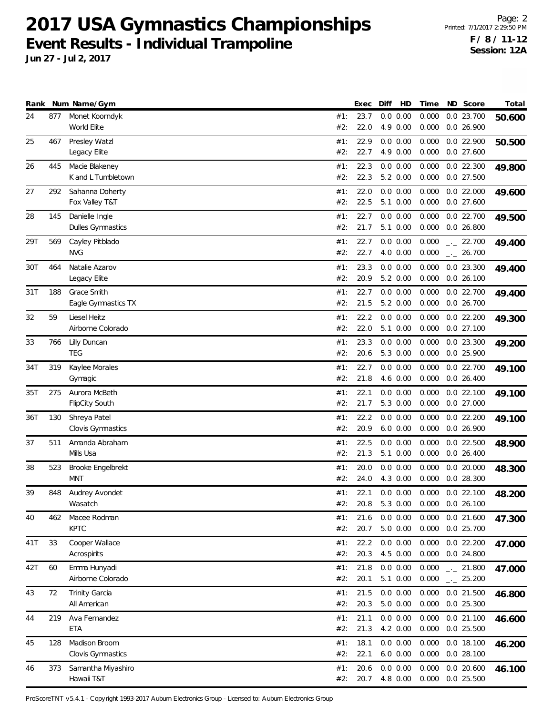**Jun 27 - Jul 2, 2017**

|     |     | Rank Num Name/Gym                     |            | Exec         | Diff | HD                      | Time           | ND Score                     | Total  |
|-----|-----|---------------------------------------|------------|--------------|------|-------------------------|----------------|------------------------------|--------|
| 24  | 877 | Monet Koorndyk<br>World Elite         | #1:<br>#2: | 23.7<br>22.0 |      | 0.0 0.00<br>4.9 0.00    | 0.000<br>0.000 | $0.0$ 23.700<br>$0.0$ 26.900 | 50.600 |
| 25  | 467 | Presley Watzl<br>Legacy Elite         | #1:<br>#2: | 22.9<br>22.7 |      | 0.0 0.00<br>4.9 0.00    | 0.000<br>0.000 | $0.0$ 22.900<br>$0.0$ 27.600 | 50.500 |
| 26  | 445 | Macie Blakeney<br>K and L Tumbletown  | #1:<br>#2: | 22.3<br>22.3 |      | 0.0 0.00<br>5.2 0.00    | 0.000<br>0.000 | $0.0$ 22.300<br>$0.0$ 27.500 | 49.800 |
| 27  | 292 | Sahanna Doherty<br>Fox Valley T&T     | #1:<br>#2: | 22.0<br>22.5 |      | 0.0 0.00<br>5.1 0.00    | 0.000<br>0.000 | $0.0$ 22.000<br>$0.0$ 27.600 | 49.600 |
| 28  | 145 | Danielle Ingle<br>Dulles Gymnastics   | #1:<br>#2: | 22.7<br>21.7 |      | 0.0 0.00<br>5.1 0.00    | 0.000<br>0.000 | 0.022.700<br>$0.0$ 26.800    | 49.500 |
| 29T | 569 | Cayley Pitblado<br><b>NVG</b>         | #1:<br>#2: | 22.7<br>22.7 |      | 0.0 0.00<br>4.0 0.00    | 0.000<br>0.000 | $-22.700$<br>$-26.700$       | 49.400 |
| 30T | 464 | Natalie Azarov<br>Legacy Elite        | #1:<br>#2: | 23.3<br>20.9 |      | 0.0 0.00<br>5.2 0.00    | 0.000<br>0.000 | $0.0$ 23.300<br>$0.0$ 26.100 | 49.400 |
| 31T | 188 | Grace Smith<br>Eagle Gymnastics TX    | #1:<br>#2: | 22.7<br>21.5 |      | 0.0 0.00<br>5.2 0.00    | 0.000<br>0.000 | 0.022.700<br>0.026.700       | 49.400 |
| 32  | 59  | Liesel Heitz<br>Airborne Colorado     | #1:<br>#2: | 22.2<br>22.0 |      | 0.0 0.00<br>5.1 0.00    | 0.000<br>0.000 | 0.022.200<br>0.0 27.100      | 49.300 |
| 33  | 766 | Lilly Duncan<br><b>TEG</b>            | #1:<br>#2: | 23.3<br>20.6 |      | 0.0 0.00<br>5.3 0.00    | 0.000<br>0.000 | $0.0$ 23.300<br>$0.0$ 25.900 | 49.200 |
| 34T | 319 | Kaylee Morales<br>Gymagic             | #1:<br>#2: | 22.7<br>21.8 |      | $0.0\ 0.00$<br>4.6 0.00 | 0.000<br>0.000 | 0.022.700<br>$0.0$ 26.400    | 49.100 |
| 35T | 275 | Aurora McBeth<br>FlipCity South       | #1:<br>#2: | 22.1<br>21.7 |      | 0.0 0.00<br>5.3 0.00    | 0.000<br>0.000 | 0.022.100<br>$0.0$ 27.000    | 49.100 |
| 36T | 130 | Shreya Patel<br>Clovis Gymnastics     | #1:<br>#2: | 22.2<br>20.9 |      | 0.0 0.00<br>$6.0\ 0.00$ | 0.000<br>0.000 | 0.022.200<br>0.026.900       | 49.100 |
| 37  | 511 | Amanda Abraham<br>Mills Usa           | #1:<br>#2: | 22.5<br>21.3 |      | 0.0 0.00<br>5.1 0.00    | 0.000<br>0.000 | $0.0$ 22.500<br>0.026.400    | 48.900 |
| 38  | 523 | Brooke Engelbrekt<br>MNT              | #1:<br>#2: | 20.0<br>24.0 |      | 0.0 0.00<br>4.3 0.00    | 0.000<br>0.000 | $0.0$ 20.000<br>$0.0$ 28.300 | 48.300 |
| 39  | 848 | Audrey Avondet<br>Wasatch             | #1:<br>#2: | 22.1<br>20.8 |      | 0.0 0.00<br>5.3 0.00    | 0.000<br>0.000 | $0.0$ 22.100<br>0.026.100    | 48.200 |
| 40  | 462 | Macee Rodman<br><b>KPTC</b>           | #1:<br>#2: | 21.6<br>20.7 |      | 0.0 0.00<br>$5.0\ 0.00$ | 0.000<br>0.000 | $0.0$ 21.600<br>0.0 25.700   | 47.300 |
| 41T | 33  | Cooper Wallace<br>Acrospirits         | #1:<br>#2: | 22.2<br>20.3 |      | 0.0 0.00<br>4.5 0.00    | 0.000<br>0.000 | $0.0$ 22.200<br>$0.0$ 24.800 | 47.000 |
| 42T | 60  | Emma Hunyadi<br>Airborne Colorado     | #1:<br>#2: | 21.8<br>20.1 |      | 0.0 0.00<br>5.1 0.00    | 0.000<br>0.000 | $-21.800$<br>$-25.200$       | 47.000 |
| 43  | 72  | <b>Trinity Garcia</b><br>All American | #1:<br>#2: | 21.5<br>20.3 |      | 0.0 0.00<br>5.0 0.00    | 0.000<br>0.000 | $0.0$ 21.500<br>$0.0$ 25.300 | 46.800 |
| 44  | 219 | Ava Fernandez<br>ETA                  | #1:<br>#2: | 21.1<br>21.3 |      | 0.0 0.00<br>4.2 0.00    | 0.000<br>0.000 | $0.0$ 21.100<br>$0.0$ 25.500 | 46.600 |
| 45  | 128 | Madison Broom<br>Clovis Gymnastics    | #1:<br>#2: | 18.1<br>22.1 |      | 0.0 0.00<br>$6.0\ 0.00$ | 0.000<br>0.000 | 0.0 18.100<br>0.028.100      | 46.200 |
| 46  | 373 | Samantha Miyashiro<br>Hawaii T&T      | #1:<br>#2: | 20.6<br>20.7 |      | 0.0 0.00<br>4.8 0.00    | 0.000<br>0.000 | $0.0$ 20.600<br>$0.0$ 25.500 | 46.100 |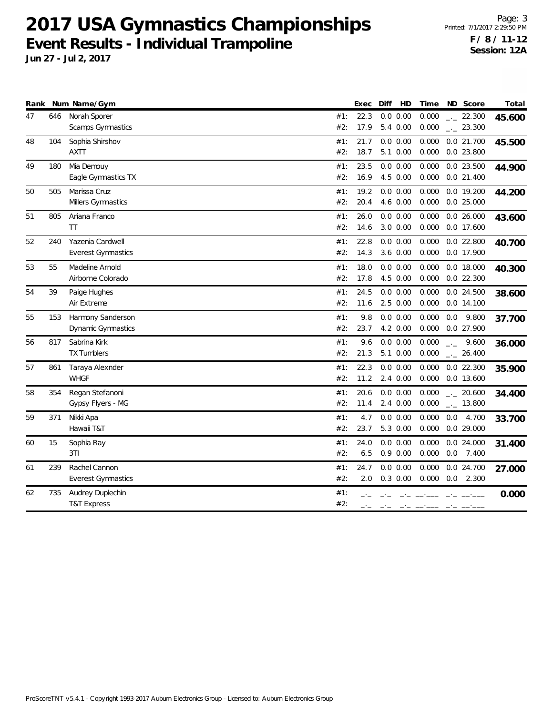|    |     | Rank Num Name/Gym         |     | Exec | Diff<br>HD   | Time  | ND Score                | Total  |
|----|-----|---------------------------|-----|------|--------------|-------|-------------------------|--------|
| 47 | 646 | Norah Sporer              | #1: | 22.3 | 0.0 0.00     | 0.000 | $-22.300$               | 45.600 |
|    |     | Scamps Gymnastics         | #2: | 17.9 | 5.4 0.00     | 0.000 | $-23.300$               |        |
| 48 | 104 | Sophia Shirshov           | #1: | 21.7 | 0.0 0.00     | 0.000 | 0.0 21.700              | 45.500 |
|    |     | <b>AXTT</b>               | #2: | 18.7 | 5.1 0.00     | 0.000 | $0.0$ 23.800            |        |
| 49 | 180 | Mia Demouy                | #1: | 23.5 | 0.0 0.00     | 0.000 | 0.0 23.500              | 44.900 |
|    |     | Eagle Gymnastics TX       | #2: | 16.9 | 4.5 0.00     | 0.000 | $0.0$ 21.400            |        |
| 50 | 505 | Marissa Cruz              | #1: | 19.2 | 0.0 0.00     | 0.000 | 0.0 19.200              | 44.200 |
|    |     | Millers Gymnastics        | #2: | 20.4 | 4.6 0.00     | 0.000 | $0.0$ 25.000            |        |
| 51 | 805 | Ariana Franco             | #1: | 26.0 | 0.0 0.00     | 0.000 | 0.026.000               | 43.600 |
|    |     | TT                        | #2: | 14.6 | $3.0\ 0.00$  | 0.000 | $0.0$ 17.600            |        |
| 52 | 240 | Yazenia Cardwell          | #1: | 22.8 | 0.0 0.00     | 0.000 | $0.0$ 22.800            | 40.700 |
|    |     | <b>Everest Gymnastics</b> | #2: | 14.3 | 3.6 0.00     | 0.000 | 0.0 17.900              |        |
| 53 | 55  | Madeline Arnold           | #1: | 18.0 | $0.0\ 0.00$  | 0.000 | 0.0 18.000              | 40.300 |
|    |     | Airborne Colorado         | #2: | 17.8 | 4.5 0.00     | 0.000 | $0.0$ 22.300            |        |
| 54 | 39  | Paige Hughes              | #1: | 24.5 | 0.0 0.00     | 0.000 | 0.0 24.500              | 38.600 |
|    |     | Air Extreme               | #2: | 11.6 | 2.5 0.00     | 0.000 | 0.0 14.100              |        |
| 55 | 153 | Harmony Sanderson         | #1: | 9.8  | 0.0 0.00     | 0.000 | 9.800<br>0.0            | 37.700 |
|    |     | <b>Dynamic Gymnastics</b> | #2: | 23.7 | 4.2 0.00     | 0.000 | 0.0 27.900              |        |
| 56 | 817 | Sabrina Kirk              | #1: | 9.6  | 0.0 0.00     | 0.000 | 9.600<br>$\overline{a}$ | 36.000 |
|    |     | <b>TX Tumblers</b>        | #2: | 21.3 | 5.1 0.00     | 0.000 | $-26.400$               |        |
| 57 | 861 | Taraya Alexnder           | #1: | 22.3 | 0.0 0.00     | 0.000 | $0.0$ 22.300            | 35.900 |
|    |     | <b>WHGF</b>               | #2: | 11.2 | $2.4\ 0.00$  | 0.000 | 0.0 13.600              |        |
| 58 | 354 | Regan Stefanoni           | #1: | 20.6 | 0.0 0.00     | 0.000 | $-20.600$               | 34.400 |
|    |     | Gypsy Flyers - MG         | #2: | 11.4 | 2.4 0.00     | 0.000 | $-13.800$               |        |
| 59 | 371 | Nikki Apa                 | #1: | 4.7  | 0.0 0.00     | 0.000 | 0.0<br>4.700            | 33.700 |
|    |     | Hawaii T&T                | #2: | 23.7 | 5.3 0.00     | 0.000 | $0.0$ 29.000            |        |
| 60 | 15  | Sophia Ray                | #1: | 24.0 | $0.0\ 0.00$  | 0.000 | 0.0 24.000              | 31.400 |
|    |     | 3T1                       | #2: | 6.5  | $0.9\ 0.00$  | 0.000 | 7.400<br>0.0            |        |
| 61 | 239 | Rachel Cannon             | #1: | 24.7 | 0.0 0.00     | 0.000 | 0.0 24.700              | 27.000 |
|    |     | <b>Everest Gymnastics</b> | #2: | 2.0  | $0.3$ $0.00$ | 0.000 | $0.0$ 2.300             |        |
| 62 | 735 | Audrey Duplechin          | #1: |      |              |       |                         | 0.000  |
|    |     | <b>T&amp;T Express</b>    | #2: |      |              |       |                         |        |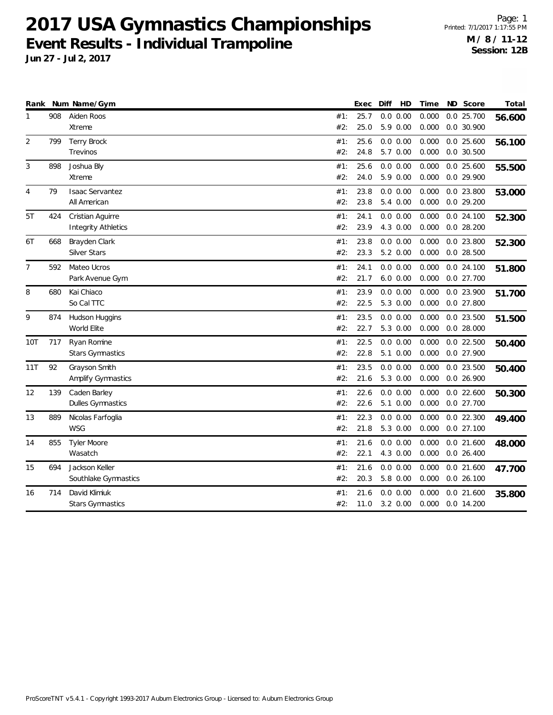|                |     | Rank Num Name/Gym          |     | Exec | Diff<br>HD   | Time  | ND Score     | Total  |
|----------------|-----|----------------------------|-----|------|--------------|-------|--------------|--------|
| 1              | 908 | Aiden Roos                 | #1: | 25.7 | 0.0 0.00     | 0.000 | 0.0 25.700   | 56.600 |
|                |     | Xtreme                     | #2: | 25.0 | 5.9 0.00     | 0.000 | $0.0$ 30.900 |        |
| 2              | 799 | <b>Terry Brock</b>         | #1: | 25.6 | 0.0 0.00     | 0.000 | $0.0$ 25.600 | 56.100 |
|                |     | Trevinos                   | #2: | 24.8 | 5.7 0.00     | 0.000 | $0.0$ 30.500 |        |
| 3              | 898 | Joshua Bly                 | #1: | 25.6 | 0.0 0.00     | 0.000 | $0.0$ 25.600 | 55.500 |
|                |     | Xtreme                     | #2: | 24.0 | 5.9 0.00     | 0.000 | 0.0 29.900   |        |
| $\overline{4}$ | 79  | <b>Isaac Servantez</b>     | #1: | 23.8 | $0.0$ $0.00$ | 0.000 | $0.0$ 23.800 | 53.000 |
|                |     | All American               | #2: | 23.8 | 5.4 0.00     | 0.000 | 0.0 29.200   |        |
| 5T             | 424 | Cristian Aguirre           | #1: | 24.1 | 0.0 0.00     | 0.000 | 0.024.100    | 52.300 |
|                |     | <b>Integrity Athletics</b> | #2: | 23.9 | 4.3 0.00     | 0.000 | $0.0$ 28.200 |        |
| 6T             | 668 | Brayden Clark              | #1: | 23.8 | 0.0 0.00     | 0.000 | $0.0$ 23.800 | 52.300 |
|                |     | Silver Stars               | #2: | 23.3 | 5.2 0.00     | 0.000 | $0.0$ 28.500 |        |
| 7              | 592 | Mateo Ucros                | #1: | 24.1 | 0.0 0.00     | 0.000 | 0.024.100    | 51.800 |
|                |     | Park Avenue Gym            | #2: | 21.7 | $6.0 \ 0.00$ | 0.000 | 0.0 27.700   |        |
| 8              | 680 | Kai Chiaco                 | #1: | 23.9 | $0.0\ 0.00$  | 0.000 | 0.0 23.900   | 51.700 |
|                |     | So Cal TTC                 | #2: | 22.5 | 5.3 0.00     | 0.000 | $0.0$ 27.800 |        |
| 9              | 874 | Hudson Huggins             | #1: | 23.5 | 0.0 0.00     | 0.000 | $0.0$ 23.500 | 51.500 |
|                |     | World Elite                | #2: | 22.7 | 5.3 0.00     | 0.000 | $0.0$ 28.000 |        |
| 10T            | 717 | Ryan Romine                | #1: | 22.5 | 0.0 0.00     | 0.000 | $0.0$ 22.500 | 50.400 |
|                |     | <b>Stars Gymnastics</b>    | #2: | 22.8 | 5.1 0.00     | 0.000 | 0.0 27.900   |        |
| 11T            | 92  | Grayson Smith              | #1: | 23.5 | 0.0 0.00     | 0.000 | 0.0 23.500   | 50.400 |
|                |     | Amplify Gymnastics         | #2: | 21.6 | 5.3 0.00     | 0.000 | 0.0 26.900   |        |
| 12             | 139 | Caden Barley               | #1: | 22.6 | 0.0 0.00     | 0.000 | $0.0$ 22.600 | 50.300 |
|                |     | Dulles Gymnastics          | #2: | 22.6 | 5.1 0.00     | 0.000 | 0.0 27.700   |        |
| 13             | 889 | Nicolas Farfoglia          | #1: | 22.3 | 0.0 0.00     | 0.000 | $0.0$ 22.300 | 49.400 |
|                |     | <b>WSG</b>                 | #2: | 21.8 | 5.3 0.00     | 0.000 | 0.027.100    |        |
| 14             | 855 | <b>Tyler Moore</b>         | #1: | 21.6 | 0.0 0.00     | 0.000 | $0.0$ 21.600 | 48.000 |
|                |     | Wasatch                    | #2: | 22.1 | 4.3 0.00     | 0.000 | $0.0$ 26.400 |        |
| 15             | 694 | Jackson Keller             | #1: | 21.6 | 0.0 0.00     | 0.000 | $0.0$ 21.600 | 47.700 |
|                |     | Southlake Gymnastics       | #2: | 20.3 | 5.8 0.00     | 0.000 | 0.026.100    |        |
| 16             | 714 | David Klimiuk              | #1: | 21.6 | 0.0 0.00     | 0.000 | $0.0$ 21.600 | 35.800 |
|                |     | <b>Stars Gymnastics</b>    | #2: | 11.0 | 3.2 0.00     | 0.000 | 0.0 14.200   |        |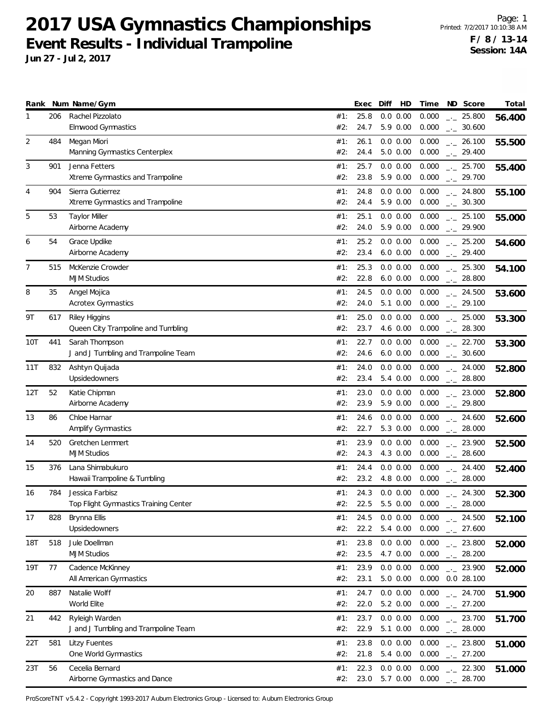**Jun 27 - Jul 2, 2017**

| Rank |     | Num Name/Gym                                           |            | Exec         | Diff<br>HD              | Time           | ND Score                  | Total  |
|------|-----|--------------------------------------------------------|------------|--------------|-------------------------|----------------|---------------------------|--------|
| 1    | 206 | Rachel Pizzolato                                       | #1:        | 25.8         | 0.0 0.00                | 0.000          | $-25.800$                 | 56.400 |
| 2    | 484 | <b>Elmwood Gymnastics</b><br>Megan Miori               | #2:<br>#1: | 24.7<br>26.1 | 5.9 0.00<br>0.0 0.00    | 0.000<br>0.000 | $-2$ 30.600<br>$-26.100$  |        |
|      |     | Manning Gymnastics Centerplex                          | #2:        | 24.4         | 5.0 0.00                | 0.000          | $-29.400$                 | 55.500 |
| 3    | 901 | Jenna Fetters                                          | #1:        | 25.7         | 0.0 0.00                | 0.000          | $\frac{1}{2}$ 25.700      | 55.400 |
|      |     | Xtreme Gymnastics and Trampoline                       | #2:        | 23.8         | 5.9 0.00                | 0.000          | $-29.700$                 |        |
| 4    | 904 | Sierra Gutierrez                                       | #1:        | 24.8         | 0.0 0.00                | 0.000          | $-24.800$                 | 55.100 |
|      |     | Xtreme Gymnastics and Trampoline                       | #2:        | 24.4         | 5.9 0.00                | 0.000          | $\frac{1}{2}$ 30.300      |        |
| 5    | 53  | <b>Taylor Miller</b><br>Airborne Academy               | #1:<br>#2: | 25.1<br>24.0 | 0.0 0.00<br>5.9 0.00    | 0.000<br>0.000 | $-25.100$<br>$-29.900$    | 55.000 |
| 6    | 54  | Grace Updike                                           | #1:        | 25.2         | 0.0 0.00                | 0.000          | $\frac{1}{2}$ 25.200      |        |
|      |     | Airborne Academy                                       | #2:        | 23.4         | $6.0$ $0.00$            | 0.000          | $-29.400$                 | 54.600 |
| 7    | 515 | McKenzie Crowder                                       | #1:        | 25.3         | 0.0 0.00                | 0.000          | $-25.300$                 | 54.100 |
|      |     | <b>MJM Studios</b>                                     | #2:        | 22.8         | $6.0\ 0.00$             | 0.000          | $-28.800$                 |        |
| 8    | 35  | Angel Mojica                                           | #1:        | 24.5         | 0.0 0.00                | 0.000          | $-24.500$                 | 53.600 |
|      |     | <b>Acrotex Gymnastics</b>                              | #2:        | 24.0         | 5.1 0.00                | 0.000          | $-29.100$                 |        |
| 9Τ   | 617 | <b>Riley Higgins</b>                                   | #1:        | 25.0         | 0.0 0.00                | 0.000          | $\frac{1}{2}$ 25.000      | 53.300 |
|      |     | Queen City Trampoline and Tumbling                     | #2:        | 23.7         | 4.6 0.00                | 0.000          | $-28.300$                 |        |
| 10T  | 441 | Sarah Thompson<br>J and J Tumbling and Trampoline Team | #1:<br>#2: | 22.7<br>24.6 | 0.0 0.00<br>$6.0\;0.00$ | 0.000<br>0.000 | $-22.700$<br>$-2$ 30.600  | 53.300 |
| 11T  | 832 | Ashtyn Quijada                                         | #1:        | 24.0         | 0.0 0.00                | 0.000          | $-24.000$                 | 52.800 |
|      |     | Upsidedowners                                          | #2:        | 23.4         | 5.4 0.00                | 0.000          | $-28.800$                 |        |
| 12T  | 52  | Katie Chipman                                          | #1:        | 23.0         | 0.0 0.00                | 0.000          | $-23.000$                 | 52.800 |
|      |     | Airborne Academy                                       | #2:        | 23.9         | 5.9 0.00                | 0.000          | $-29.800$                 |        |
| 13   | 86  | Chloe Harnar                                           | #1:        | 24.6         | 0.0 0.00                | 0.000          | $-24.600$                 | 52.600 |
|      |     | Amplify Gymnastics                                     | #2:        | 22.7         | 5.3 0.00                | 0.000          | $-28.000$                 |        |
| 14   | 520 | Gretchen Lemmert<br><b>MJM Studios</b>                 | #1:        | 23.9         | 0.0 0.00<br>4.3 0.00    | 0.000<br>0.000 | $-23.900$                 | 52.500 |
|      |     | Lana Shimabukuro                                       | #2:        | 24.3<br>24.4 | 0.0 0.00                | 0.000          | $-28.600$                 |        |
| 15   | 376 | Hawaii Trampoline & Tumbling                           | #1:<br>#2: | 23.2         | 4.8 0.00                | 0.000          | $-24.400$<br>$-28.000$    | 52.400 |
| 16   | 784 | Jessica Farbisz                                        | #1:        | 24.3         | 0.0 0.00                | 0.000          | $-24.300$                 | 52.300 |
|      |     | Top Flight Gymnastics Training Center                  | #2:        | 22.5         | 5.5 0.00                | 0.000          | 28.000<br>— <u>—</u>      |        |
| 17   | 828 | Brynna Ellis                                           | #1:        | 24.5         | 0.0 0.00                | 0.000          | $-24.500$                 | 52.100 |
|      |     | Upsidedowners                                          | #2:        | 22.2         | 5.4 0.00                | 0.000          | $\frac{1}{2}$ 27.600      |        |
| 18T  | 518 | Jule Doellman                                          | #1:        | 23.8         | 0.0 0.00                | 0.000          | $-23.800$                 | 52.000 |
|      |     | <b>MJM Studios</b>                                     | #2:        | 23.5         | 4.7 0.00                | 0.000          | $-28.200$                 |        |
| 19T  | 77  | Cadence McKinney<br>All American Gymnastics            | #1:<br>#2: | 23.9<br>23.1 | 0.0 0.00<br>$5.0\ 0.00$ | 0.000<br>0.000 | $-23.900$<br>$0.0$ 28.100 | 52.000 |
| 20   | 887 | Natalie Wolff                                          | #1:        | 24.7         | 0.0 0.00                | 0.000          | $-24.700$                 |        |
|      |     | World Elite                                            | #2:        | 22.0         | 5.2 0.00                | 0.000          | $-27.200$                 | 51.900 |
| 21   | 442 | Ryleigh Warden                                         | #1:        | 23.7         | 0.0 0.00                | 0.000          | $-23.700$                 | 51.700 |
|      |     | J and J Tumbling and Trampoline Team                   | #2:        | 22.9         | 5.1 0.00                | 0.000          | $-28.000$                 |        |
| 22T  | 581 | <b>Litzy Fuentes</b>                                   | #1:        | 23.8         | 0.0 0.00                | 0.000          | $-23.800$                 | 51.000 |
|      |     | One World Gymnastics                                   | #2:        | 21.8         | 5.4 0.00                | 0.000          | $-27.200$                 |        |
| 23T  | 56  | Cecelia Bernard                                        | #1:        | 22.3         | 0.0 0.00                | 0.000          | $-22.300$                 | 51.000 |
|      |     | Airborne Gymnastics and Dance                          | #2:        | 23.0         | 5.7 0.00                | 0.000          | $-28.700$                 |        |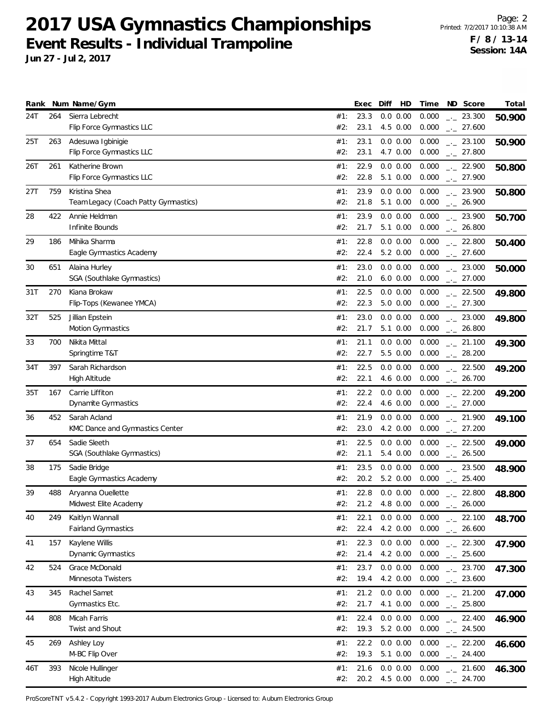**Jun 27 - Jul 2, 2017**

| Rank |     | Num Name/Gym                                 |            | Exec         | Diff                    | HD | Time           | ND Score                          | Total  |
|------|-----|----------------------------------------------|------------|--------------|-------------------------|----|----------------|-----------------------------------|--------|
| 24T  | 264 | Sierra Lebrecht<br>Flip Force Gymnastics LLC | #1:<br>#2: | 23.3<br>23.1 | 0.0 0.00<br>4.5 0.00    |    | 0.000<br>0.000 | $-23.300$<br>$-27.600$            | 50.900 |
| 25T  | 263 | Adesuwa Igbinigie                            | #1:        | 23.1         | 0.0 0.00                |    | 0.000          | $-23.100$                         | 50.900 |
|      |     | Flip Force Gymnastics LLC                    | #2:        | 23.1         | 4.7 0.00                |    | 0.000          | $-27.800$                         |        |
| 26T  | 261 | Katherine Brown                              | #1:        | 22.9         | 0.0 0.00                |    | 0.000          | $-22.900$                         | 50.800 |
|      |     | Flip Force Gymnastics LLC                    | #2:        | 22.8         | 5.1 0.00                |    | 0.000          | $-27.900$                         |        |
| 27T  | 759 | Kristina Shea                                | #1:        | 23.9         | 0.0 0.00                |    | 0.000          | $-23.900$                         | 50.800 |
|      |     | Team Legacy (Coach Patty Gymnastics)         | #2:        | 21.8         | 5.1 0.00                |    | 0.000          | $-26.900$                         |        |
| 28   | 422 | Annie Heldman                                | #1:        | 23.9         | 0.0 0.00                |    | 0.000          | $-23.900$                         | 50.700 |
|      |     | Infinite Bounds                              | #2:        | 21.7         | 5.1 0.00                |    | 0.000          | $\frac{1}{2}$ 26.800              |        |
| 29   | 186 | Mihika Sharma<br>Eagle Gymnastics Academy    | #1:<br>#2: | 22.8<br>22.4 | 0.0 0.00<br>5.2 0.00    |    | 0.000<br>0.000 | $\frac{1}{2}$ 22.800<br>$-27.600$ | 50.400 |
|      |     |                                              |            |              |                         |    |                |                                   |        |
| 30   | 651 | Alaina Hurley<br>SGA (Southlake Gymnastics)  | #1:<br>#2: | 23.0<br>21.0 | 0.0 0.00<br>$6.0\ 0.00$ |    | 0.000<br>0.000 | $-23.000$<br>$-27.000$            | 50.000 |
| 31T  | 270 | Kiana Brokaw                                 | #1:        | 22.5         | 0.0 0.00                |    | 0.000          | $\frac{1}{2}$ 22.500              | 49.800 |
|      |     | Flip-Tops (Kewanee YMCA)                     | #2:        | 22.3         | 5.0 0.00                |    | 0.000          | $-27.300$                         |        |
| 32T  | 525 | Jillian Epstein                              | #1:        | 23.0         | 0.0 0.00                |    | 0.000          | $\frac{1}{2}$ 23.000              | 49.800 |
|      |     | Motion Gymnastics                            | #2:        | 21.7         | 5.1 0.00                |    | 0.000          | $-26.800$                         |        |
| 33   | 700 | Nikita Mittal                                | #1:        | 21.1         | 0.0 0.00                |    | 0.000          | $-21.100$                         | 49.300 |
|      |     | Springtime T&T                               | #2:        | 22.7         | 5.5 0.00                |    | 0.000          | $-28.200$                         |        |
| 34T  | 397 | Sarah Richardson                             | #1:        | 22.5         | 0.0 0.00                |    | 0.000          | $-22.500$                         | 49.200 |
|      |     | High Altitude                                | #2:        | 22.1         | 4.6 0.00                |    | 0.000          | $-26.700$                         |        |
| 35T  | 167 | Carrie Liffiton                              | #1:        | 22.2         | 0.0 0.00                |    | 0.000          | $-22.200$                         | 49.200 |
|      |     | Dynamite Gymnastics                          | #2:        | 22.4         | 4.6 0.00                |    | 0.000          | $-27.000$                         |        |
| 36   | 452 | Sarah Acland                                 | #1:        | 21.9         | 0.0 0.00                |    | 0.000          | $-21.900$                         | 49.100 |
|      |     | KMC Dance and Gymnastics Center              | #2:        | 23.0         | 4.2 0.00                |    | 0.000          | $\frac{1}{2}$ 27.200              |        |
| 37   | 654 | Sadie Sleeth                                 | #1:        | 22.5         | 0.0 0.00                |    | 0.000          | $\frac{1}{2}$ 22.500              | 49.000 |
|      |     | SGA (Southlake Gymnastics)                   | #2:        | 21.1         | 5.4 0.00                |    | 0.000          | $-26.500$                         |        |
| 38   | 175 | Sadie Bridge<br>Eagle Gymnastics Academy     | #1:<br>#2: | 23.5<br>20.2 | 0.0 0.00<br>5.2 0.00    |    | 0.000<br>0.000 | $\frac{1}{2}$ 23.500<br>$-25.400$ | 48.900 |
| 39   | 488 | Aryanna Ouellette                            | #1:        | 22.8         | 0.0 0.00                |    | 0.000          | $-22.800$                         |        |
|      |     | Midwest Elite Academy                        | #2:        | 21.2         | 4.8 0.00                |    | 0.000          | 26.000                            | 48.800 |
| 40   | 249 | Kaitlyn Wannall                              | #1:        | 22.1         | 0.0 0.00                |    | 0.000          | $-22.100$                         | 48.700 |
|      |     | Fairland Gymnastics                          | #2:        | 22.4         | 4.2 0.00                |    | 0.000          | $-26.600$                         |        |
| 41   | 157 | Kaylene Willis                               | #1:        | 22.3         | 0.0 0.00                |    | 0.000          | $-22.300$                         | 47.900 |
|      |     | <b>Dynamic Gymnastics</b>                    | #2:        | 21.4         | 4.2 0.00                |    | 0.000          | $-25.600$                         |        |
| 42   | 524 | Grace McDonald                               | #1:        | 23.7         | 0.0 0.00                |    | 0.000          | $-23.700$                         | 47.300 |
|      |     | Minnesota Twisters                           | #2:        | 19.4         | 4.2 0.00                |    | 0.000          | $-23.600$                         |        |
| 43   | 345 | Rachel Samet                                 | #1:        | 21.2         | 0.0 0.00                |    | 0.000          | $-21.200$                         | 47.000 |
|      |     | Gymnastics Etc.                              | #2:        | 21.7         | 4.1 0.00                |    | 0.000          | $-25.800$                         |        |
| 44   | 808 | Micah Farris                                 | #1:        | 22.4         | 0.0 0.00                |    | 0.000          | $-22.400$                         | 46.900 |
|      |     | Twist and Shout                              | #2:        | 19.3         | 5.2 0.00                |    | 0.000          | $\frac{1}{2}$ 24.500              |        |
| 45   | 269 | Ashley Loy<br>M-BC Flip Over                 | #1:<br>#2: | 22.2<br>19.3 | $0.0\ 0.00$<br>5.1 0.00 |    | 0.000<br>0.000 | $-22.200$<br>$-24.400$            | 46.600 |
|      |     |                                              |            |              |                         |    |                |                                   |        |
| 46T  | 393 | Nicole Hullinger<br>High Altitude            | #1:<br>#2: | 21.6<br>20.2 | 0.0 0.00<br>4.5 0.00    |    | 0.000<br>0.000 | $-21.600$<br>$-24.700$            | 46.300 |
|      |     |                                              |            |              |                         |    |                |                                   |        |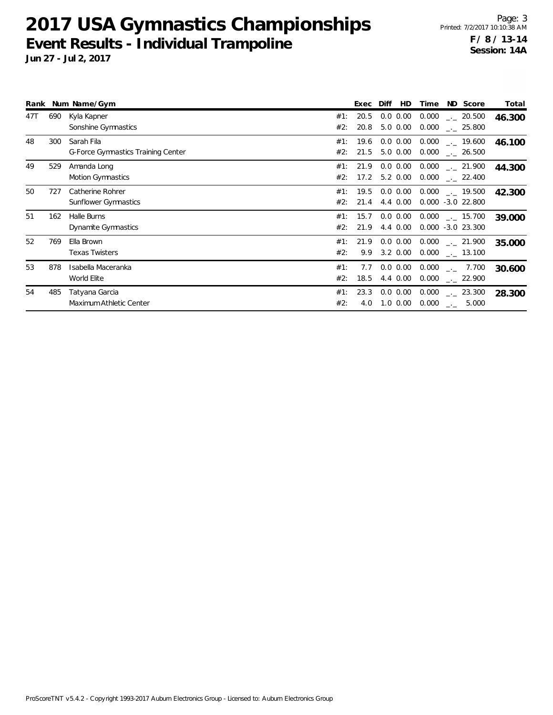|     |     | Rank Num Name/Gym                                       |            | Exec         | Diff<br>HD                      | Time           | ND Score                                               | Total  |
|-----|-----|---------------------------------------------------------|------------|--------------|---------------------------------|----------------|--------------------------------------------------------|--------|
| 47T | 690 | Kyla Kapner<br>Sonshine Gymnastics                      | #1:<br>#2: | 20.5<br>20.8 | $0.0\ 0.00$<br>$5.0 \ \ 0.00$   | 0.000<br>0.000 | 20.500<br>$\sim$ 25.800                                | 46.300 |
| 48  | 300 | Sarah Fila<br><b>G-Force Gymnastics Training Center</b> | #1:<br>#2: | 19.6<br>21.5 | $0.0 \, 0.00$<br>$5.0 \ \ 0.00$ | 0.000<br>0.000 | $\frac{1}{2}$ 19.600<br>$\frac{1}{2}$ 26.500           | 46.100 |
| 49  | 529 | Amanda Long<br><b>Motion Gymnastics</b>                 | #1:<br>#2: | 21.9<br>17.2 | $0.0\ 0.00$<br>$5.2 \ 0.00$     | 0.000<br>0.000 | $\sim$ 21.900<br>$\sim$ 22.400                         | 44.300 |
| 50  | 727 | Catherine Rohrer<br>Sunflower Gymnastics                | #1:<br>#2: | 19.5<br>21.4 | $0.0\,0.00$<br>4.4 0.00         |                | $0.000$ $_{\leftarrow}$ 19.500<br>$0.000 - 3.0 22.800$ | 42.300 |
| 51  | 162 | Halle Burns<br>Dynamite Gymnastics                      | #1:<br>#2: | 15.7<br>21.9 | 0.0 0.00<br>4.4 0.00            | 0.000          | $\sim$ 15.700<br>$0.000 - 3.0 23.300$                  | 39.000 |
| 52  | 769 | Ella Brown<br><b>Texas Twisters</b>                     | #1:<br>#2: | 21.9<br>9.9  | $0.0\,0.00$<br>$3.2 \ 0.00$     | 0.000<br>0.000 | $\sim$ 21.900<br>$\sim$ 13.100                         | 35.000 |
| 53  | 878 | Isabella Maceranka<br>World Elite                       | #1:<br>#2: | 7.7<br>18.5  | $0.0\,0.00$<br>4.4 0.00         | 0.000<br>0.000 | $-2$ 7.700<br>22.900                                   | 30.600 |
| 54  | 485 | Tatyana Garcia<br>Maximum Athletic Center               | #1:<br>#2: | 23.3<br>4.0  | $0.0 \, 0.00$<br>$1.0 \, 0.00$  | 0.000<br>0.000 | $\sim$ 23.300<br>5.000<br>$\rightarrow$                | 28.300 |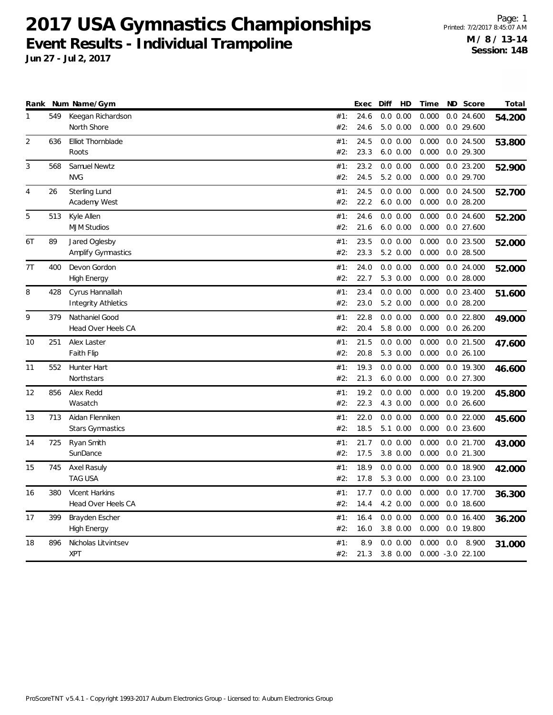|                |     | Rank Num Name/Gym          |     | Exec | Diff | HD          | Time  |     | ND Score             | Total  |
|----------------|-----|----------------------------|-----|------|------|-------------|-------|-----|----------------------|--------|
| 1              | 549 | Keegan Richardson          | #1: | 24.6 |      | 0.0 0.00    | 0.000 |     | $0.0$ 24.600         | 54.200 |
|                |     | North Shore                | #2: | 24.6 |      | $5.0\ 0.00$ | 0.000 |     | $0.0$ 29.600         |        |
| $\overline{2}$ | 636 | Elliot Thornblade          | #1: | 24.5 |      | 0.0 0.00    | 0.000 |     | 0.0 24.500           | 53.800 |
|                |     | Roots                      | #2: | 23.3 |      | $6.0\ 0.00$ | 0.000 |     | $0.0$ 29.300         |        |
| 3              | 568 | Samuel Newtz               | #1: | 23.2 |      | 0.0 0.00    | 0.000 |     | $0.0$ 23.200         | 52.900 |
|                |     | <b>NVG</b>                 | #2: | 24.5 |      | 5.2 0.00    | 0.000 |     | 0.0 29.700           |        |
| 4              | 26  | <b>Sterling Lund</b>       | #1: | 24.5 |      | 0.0 0.00    | 0.000 |     | 0.0 24.500           | 52.700 |
|                |     | Academy West               | #2: | 22.2 |      | $6.0\ 0.00$ | 0.000 |     | $0.0$ 28.200         |        |
| 5              | 513 | Kyle Allen                 | #1: | 24.6 |      | 0.0 0.00    | 0.000 |     | $0.0$ 24.600         | 52.200 |
|                |     | <b>MJM Studios</b>         | #2: | 21.6 |      | $6.0\ 0.00$ | 0.000 |     | $0.0$ 27.600         |        |
| 6T             | 89  | Jared Oglesby              | #1: | 23.5 |      | 0.0 0.00    | 0.000 |     | $0.0$ 23.500         | 52.000 |
|                |     | <b>Amplify Gymnastics</b>  | #2: | 23.3 |      | 5.2 0.00    | 0.000 |     | $0.0$ 28.500         |        |
| 7T             | 400 | Devon Gordon               | #1: | 24.0 |      | 0.0 0.00    | 0.000 |     | $0.0$ 24.000         | 52.000 |
|                |     | <b>High Energy</b>         | #2: | 22.7 |      | 5.3 0.00    | 0.000 |     | $0.0$ 28.000         |        |
| 8              | 428 | Cyrus Hannallah            | #1: | 23.4 |      | 0.0 0.00    | 0.000 |     | 0.0 23.400           | 51.600 |
|                |     | <b>Integrity Athletics</b> | #2: | 23.0 |      | 5.2 0.00    | 0.000 |     | $0.0$ 28.200         |        |
| 9              | 379 | Nathaniel Good             | #1: | 22.8 |      | 0.0 0.00    | 0.000 |     | $0.0$ 22.800         | 49.000 |
|                |     | Head Over Heels CA         | #2: | 20.4 |      | 5.8 0.00    | 0.000 |     | $0.0$ 26.200         |        |
| 10             | 251 | Alex Laster                | #1: | 21.5 |      | 0.0 0.00    | 0.000 |     | $0.0$ 21.500         | 47.600 |
|                |     | Faith Flip                 | #2: | 20.8 |      | 5.3 0.00    | 0.000 |     | 0.026.100            |        |
| 11             | 552 | Hunter Hart                | #1: | 19.3 |      | 0.0 0.00    | 0.000 |     | 0.0 19.300           | 46.600 |
|                |     | Northstars                 | #2: | 21.3 |      | $6.0\ 0.00$ | 0.000 |     | $0.0$ 27.300         |        |
| 12             | 856 | Alex Redd                  | #1: | 19.2 |      | 0.0 0.00    | 0.000 |     | $0.0$ 19.200         | 45.800 |
|                |     | Wasatch                    | #2: | 22.3 |      | 4.3 0.00    | 0.000 |     | $0.0$ 26.600         |        |
| 13             | 713 | Aidan Flenniken            | #1: | 22.0 |      | 0.0 0.00    | 0.000 |     | $0.0$ 22.000         | 45.600 |
|                |     | Stars Gymnastics           | #2: | 18.5 |      | 5.1 0.00    | 0.000 |     | $0.0$ 23.600         |        |
| 14             | 725 | Ryan Smith                 | #1: | 21.7 |      | 0.0 0.00    | 0.000 |     | 0.0 21.700           | 43.000 |
|                |     | SunDance                   | #2: | 17.5 |      | $3.8\ 0.00$ | 0.000 |     | $0.0$ 21.300         |        |
| 15             | 745 | <b>Axel Rasuly</b>         | #1: | 18.9 |      | 0.0 0.00    | 0.000 |     | 0.0 18.900           | 42.000 |
|                |     | <b>TAG USA</b>             | #2: | 17.8 |      | 5.3 0.00    | 0.000 |     | $0.0$ 23.100         |        |
| 16             | 380 | Vicent Harkins             | #1: | 17.7 |      | 0.0 0.00    | 0.000 |     | 0.0 17.700           | 36.300 |
|                |     | Head Over Heels CA         | #2: | 14.4 |      | 4.2 0.00    | 0.000 |     | $0.0$ 18.600         |        |
| 17             | 399 | Brayden Escher             | #1: | 16.4 |      | 0.0 0.00    | 0.000 |     | 0.0 16.400           | 36.200 |
|                |     | <b>High Energy</b>         | #2: | 16.0 |      | 3.8 0.00    | 0.000 |     | 0.0 19.800           |        |
| 18             | 896 | Nicholas Litvintsev        | #1: | 8.9  |      | 0.0 0.00    | 0.000 | 0.0 | 8.900                | 31.000 |
|                |     | <b>XPT</b>                 | #2: | 21.3 |      | $3.8\ 0.00$ |       |     | $0.000 - 3.0 22.100$ |        |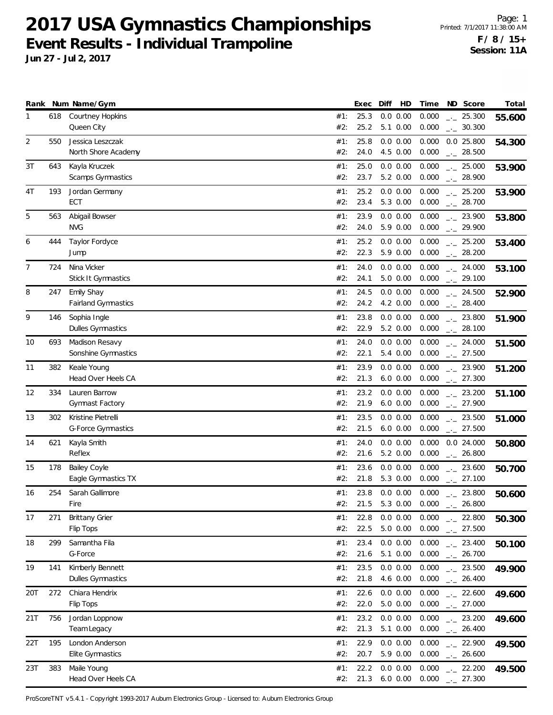**Jun 27 - Jul 2, 2017**

|                |     | Rank Num Name/Gym                               |            | Exec         | Diff<br>HD                 | Time           | ND Score                             | Total  |
|----------------|-----|-------------------------------------------------|------------|--------------|----------------------------|----------------|--------------------------------------|--------|
| 1              | 618 | <b>Courtney Hopkins</b><br>Queen City           | #1:<br>#2: | 25.3<br>25.2 | 0.0 0.00<br>5.1 0.00       | 0.000<br>0.000 | $-25.300$<br>$-2$ 30.300             | 55.600 |
| $\overline{2}$ | 550 | Jessica Leszczak<br>North Shore Academy         | #1:<br>#2: | 25.8<br>24.0 | 0.0 0.00<br>4.5 0.00       | 0.000<br>0.000 | $0.0$ 25.800<br>$\frac{1}{2}$ 28.500 | 54.300 |
| 3T             | 643 | Kayla Kruczek<br>Scamps Gymnastics              | #1:<br>#2: | 25.0<br>23.7 | 0.0 0.00<br>5.2 0.00       | 0.000<br>0.000 | $-25.000$<br>$-28.900$               | 53.900 |
| 4T             | 193 | Jordan Germany<br>ECT                           | #1:<br>#2: | 25.2<br>23.4 | 0.0 0.00<br>5.3 0.00       | 0.000<br>0.000 | $-25.200$<br>$-28.700$               | 53.900 |
| 5              | 563 | Abigail Bowser<br><b>NVG</b>                    | #1:<br>#2: | 23.9<br>24.0 | 0.0 0.00<br>5.9 0.00       | 0.000<br>0.000 | $-23.900$<br>$-29.900$               | 53.800 |
| 6              | 444 | Taylor Fordyce<br>Jump                          | #1:<br>#2: | 25.2<br>22.3 | 0.0 0.00<br>5.9 0.00       | 0.000<br>0.000 | $\frac{1}{2}$ 25.200<br>$-28.200$    | 53.400 |
| 7              | 724 | Nina Vicker<br>Stick It Gymnastics              | #1:<br>#2: | 24.0<br>24.1 | 0.0 0.00<br>5.0 0.00       | 0.000<br>0.000 | $-24.000$<br>$-29.100$               | 53.100 |
| 8              | 247 | Emily Shay<br><b>Fairland Gymnastics</b>        | #1:<br>#2: | 24.5<br>24.2 | 0.0 0.00<br>4.2 0.00       | 0.000<br>0.000 | $-24.500$<br>$-28.400$               | 52.900 |
| 9              | 146 | Sophia Ingle<br>Dulles Gymnastics               | #1:<br>#2: | 23.8<br>22.9 | 0.0 0.00<br>5.2 0.00       | 0.000<br>0.000 | $-23.800$<br>$-28.100$               | 51.900 |
| 10             | 693 | Madison Resavy<br>Sonshine Gymnastics           | #1:<br>#2: | 24.0<br>22.1 | 0.0 0.00<br>5.4 0.00       | 0.000<br>0.000 | $-24.000$<br>$-27.500$               | 51.500 |
| 11             | 382 | Keale Young<br>Head Over Heels CA               | #1:<br>#2: | 23.9<br>21.3 | $0.0\ 0.00$<br>$6.0\ 0.00$ | 0.000<br>0.000 | $-23.900$<br>$-27.300$               | 51.200 |
| 12             | 334 | Lauren Barrow<br>Gymnast Factory                | #1:<br>#2: | 23.2<br>21.9 | 0.0 0.00<br>$6.0\ 0.00$    | 0.000<br>0.000 | $-23.200$<br>$-27.900$               | 51.100 |
| 13             | 302 | Kristine Pietrelli<br><b>G-Force Gymnastics</b> | #1:<br>#2: | 23.5<br>21.5 | 0.0 0.00<br>$6.0$ $0.00$   | 0.000<br>0.000 | $-23.500$<br>$-27.500$               | 51.000 |
| 14             | 621 | Kayla Smith<br>Reflex                           | #1:<br>#2: | 24.0<br>21.6 | 0.0 0.00<br>5.2 0.00       | 0.000<br>0.000 | $0.0$ 24.000<br>$-26.800$            | 50.800 |
| 15             | 178 | Bailey Coyle<br>Eagle Gymnastics TX             | #1:<br>#2: | 23.6<br>21.8 | 0.0 0.00<br>5.3 0.00       | 0.000<br>0.000 | $-23.600$<br>$-27.100$               | 50.700 |
| 16             | 254 | Sarah Gallimore<br>Fire                         | #1:<br>#2: | 23.8<br>21.5 | 0.0 0.00<br>5.3 0.00       | 0.000<br>0.000 | $-23.800$<br>26.800<br>$-1$          | 50.600 |
| 17             | 271 | <b>Brittany Grier</b><br>Flip Tops              | #1:<br>#2: | 22.8<br>22.5 | 0.0 0.00<br>5.0 0.00       | 0.000<br>0.000 | $-22.800$<br>$-27.500$               | 50.300 |
| 18             | 299 | Samantha Fila<br>G-Force                        | #1:<br>#2: | 23.4<br>21.6 | 0.0 0.00<br>5.1 0.00       | 0.000<br>0.000 | $-23.400$<br>$-26.700$               | 50.100 |
| 19             | 141 | Kimberly Bennett<br>Dulles Gymnastics           | #1:<br>#2: | 23.5<br>21.8 | $0.0\ 0.00$<br>4.6 0.00    | 0.000<br>0.000 | $-23.500$<br>$-26.400$               | 49.900 |
| 20T            | 272 | Chiara Hendrix<br>Flip Tops                     | #1:<br>#2: | 22.6<br>22.0 | 0.0 0.00<br>5.0 0.00       | 0.000<br>0.000 | $-22.600$<br>$-27.000$               | 49.600 |
| 21T            | 756 | Jordan Loppnow<br>Team Legacy                   | #1:<br>#2: | 23.2<br>21.3 | 0.0 0.00<br>5.1 0.00       | 0.000<br>0.000 | $-23.200$<br>$\frac{1}{2}$ 26.400    | 49.600 |
| 22T            | 195 | London Anderson<br>Elite Gymnastics             | #1:<br>#2: | 22.9<br>20.7 | 0.0 0.00<br>5.9 0.00       | 0.000<br>0.000 | $-22.900$<br>$\frac{1}{2}$ 26.600    | 49.500 |
| 23T            | 383 | Maile Young<br>Head Over Heels CA               | #1:<br>#2: | 22.2<br>21.3 | 0.0 0.00<br>$6.0\ 0.00$    | 0.000<br>0.000 | $-22.200$<br>$-27.300$               | 49.500 |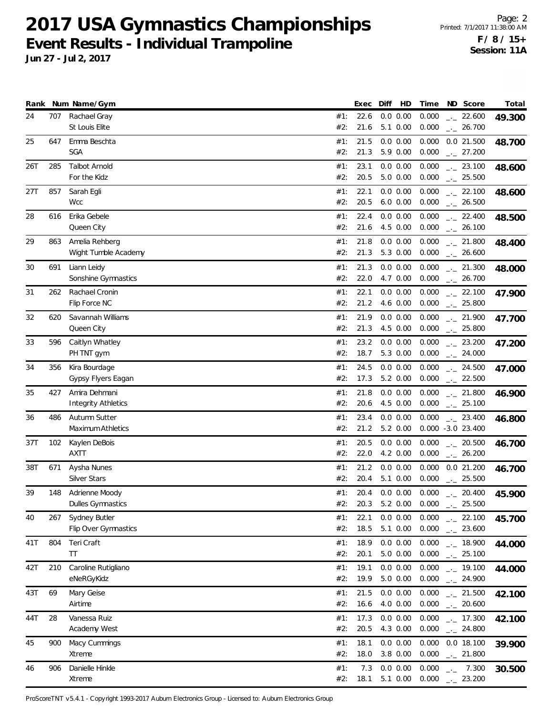**Jun 27 - Jul 2, 2017**

|     |     | Rank Num Name/Gym                           |            | Exec         | Diff | HD                      | Time           | ND Score                                    | Total  |
|-----|-----|---------------------------------------------|------------|--------------|------|-------------------------|----------------|---------------------------------------------|--------|
| 24  | 707 | Rachael Gray<br>St Louis Elite              | #1:<br>#2: | 22.6<br>21.6 |      | 0.0 0.00<br>5.1 0.00    | 0.000<br>0.000 | $-22.600$<br>$-26.700$                      | 49.300 |
| 25  | 647 | Emma Beschta<br><b>SGA</b>                  | #1:<br>#2: | 21.5<br>21.3 |      | 0.0 0.00<br>5.9 0.00    | 0.000<br>0.000 | 0.0 21.500<br>$-27.200$                     | 48.700 |
| 26T | 285 | <b>Talbot Arnold</b><br>For the Kidz        | #1:<br>#2: | 23.1<br>20.5 |      | 0.0 0.00<br>5.0 0.00    | 0.000<br>0.000 | $-23.100$<br>$-25.500$                      | 48.600 |
| 27T | 857 | Sarah Egli<br><b>Wcc</b>                    | #1:<br>#2: | 22.1<br>20.5 |      | 0.0 0.00<br>$6.0\ 0.00$ | 0.000<br>0.000 | $-22.100$<br>$-26.500$                      | 48.600 |
| 28  | 616 | Erika Gebele<br>Queen City                  | #1:<br>#2: | 22.4<br>21.6 |      | 0.0 0.00<br>4.5 0.00    | 0.000<br>0.000 | $-22.400$<br>$-26.100$                      | 48.500 |
| 29  | 863 | Amelia Rehberg<br>Wight Tumble Academy      | #1:<br>#2: | 21.8<br>21.3 |      | 0.0 0.00<br>5.3 0.00    | 0.000<br>0.000 | $-21.800$<br>$-26.600$                      | 48.400 |
| 30  | 691 | Liann Leidy<br>Sonshine Gymnastics          | #1:<br>#2: | 21.3<br>22.0 |      | 0.0 0.00<br>4.7 0.00    | 0.000<br>0.000 | $-21.300$<br>$-26.700$                      | 48.000 |
| 31  | 262 | Rachael Cronin<br>Flip Force NC             | #1:<br>#2: | 22.1<br>21.2 |      | 0.0 0.00<br>4.6 0.00    | 0.000<br>0.000 | $-22.100$<br>$\frac{1}{2}$ 25.800           | 47.900 |
| 32  | 620 | Savannah Williams<br>Queen City             | #1:<br>#2: | 21.9<br>21.3 |      | 0.0 0.00<br>4.5 0.00    | 0.000<br>0.000 | $-21.900$<br>$-25.800$                      | 47.700 |
| 33  | 596 | Caitlyn Whatley<br>PH TNT gym               | #1:<br>#2: | 23.2<br>18.7 |      | 0.0 0.00<br>5.3 0.00    | 0.000<br>0.000 | $-23.200$<br>$-24.000$                      | 47.200 |
| 34  | 356 | Kira Bourdage<br>Gypsy Flyers Eagan         | #1:<br>#2: | 24.5<br>17.3 |      | 0.0 0.00<br>5.2 0.00    | 0.000<br>0.000 | $-24.500$<br>$-22.500$                      | 47.000 |
| 35  | 427 | Amira Dehmani<br><b>Integrity Athletics</b> | #1:<br>#2: | 21.8<br>20.6 |      | 0.0 0.00<br>4.5 0.00    | 0.000<br>0.000 | $-21.800$<br>$-25.100$                      | 46.900 |
| 36  | 486 | Autumn Sutter<br>Maximum Athletics          | #1:<br>#2: | 23.4<br>21.2 |      | 0.0 0.00<br>5.2 0.00    | 0.000          | $\frac{1}{2}$ 23.400<br>$0.000 -3.0 23.400$ | 46.800 |
| 37T | 102 | Kaylen DeBois<br><b>AXTT</b>                | #1:<br>#2: | 20.5<br>22.0 |      | 0.0 0.00<br>4.2 0.00    | 0.000<br>0.000 | $\frac{1}{2}$ 20.500<br>$-26.200$           | 46.700 |
| 38T | 671 | Aysha Nunes<br>Silver Stars                 | #1:<br>#2: | 21.2<br>20.4 |      | 0.0 0.00<br>5.1 0.00    | 0.000<br>0.000 | 0.021.200<br>$-25.500$                      | 46.700 |
| 39  | 148 | Adrienne Moody<br>Dulles Gymnastics         | #1:<br>#2: | 20.4<br>20.3 |      | 0.0 0.00<br>5.2 0.00    | 0.000<br>0.000 | $-20.400$<br>25.500<br>$-1$                 | 45.900 |
| 40  | 267 | Sydney Butler<br>Flip Over Gymnastics       | #1:<br>#2: | 22.1<br>18.5 |      | 0.0 0.00<br>5.1 0.00    | 0.000<br>0.000 | $-22.100$<br>$-23.600$                      | 45.700 |
| 41T | 804 | Teri Craft<br>TT                            | #1:<br>#2: | 18.9<br>20.1 |      | $0.0\ 0.00$<br>5.0 0.00 | 0.000<br>0.000 | $-18.900$<br>$-25.100$                      | 44.000 |
| 42T | 210 | Caroline Rutigliano<br>eNeRGyKidz           | #1:<br>#2: | 19.1<br>19.9 |      | 0.0 0.00<br>5.0 0.00    | 0.000<br>0.000 | $\frac{1}{2}$ 19.100<br>$-24.900$           | 44.000 |
| 43T | 69  | Mary Geise<br>Airtime                       | #1:<br>#2: | 21.5<br>16.6 |      | 0.0 0.00<br>4.0 0.00    | 0.000<br>0.000 | $-21.500$<br>$-20.600$                      | 42.100 |
| 44T | 28  | Vanessa Ruiz<br>Academy West                | #1:<br>#2: | 17.3<br>20.5 |      | 0.0 0.00<br>4.3 0.00    | 0.000<br>0.000 | $-17.300$<br>$\frac{1}{2}$ 24.800           | 42.100 |
| 45  | 900 | Macy Cummings<br>Xtreme                     | #1:<br>#2: | 18.1<br>18.0 |      | 0.0 0.00<br>3.8 0.00    | 0.000<br>0.000 | $0.0$ 18.100<br>$-21.800$                   | 39.900 |
| 46  | 906 | Danielle Hinkle<br>Xtreme                   | #1:<br>#2: | 7.3<br>18.1  |      | 0.0 0.00<br>5.1 0.00    | 0.000<br>0.000 | 7.300<br>$\rightarrow$<br>$-23.200$         | 30.500 |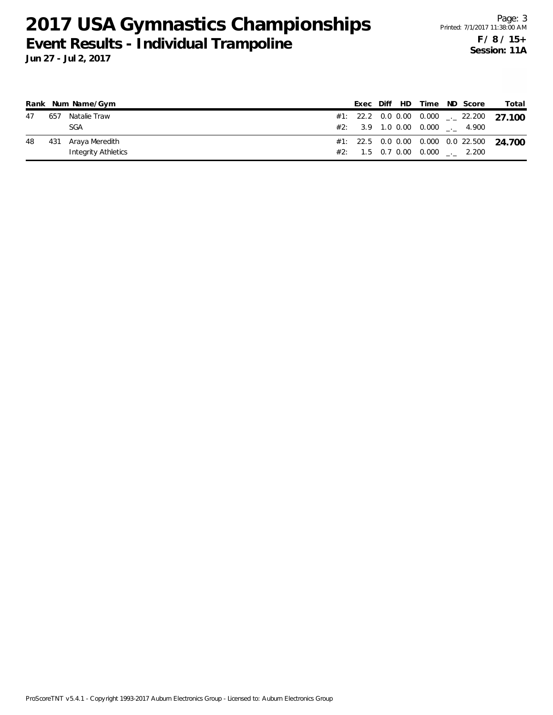|    |     | Rank Num Name/Gym   |  |  |  | Exec Diff HD Time ND Score           | Total                                               |
|----|-----|---------------------|--|--|--|--------------------------------------|-----------------------------------------------------|
| 47 | 657 | Natalie Traw        |  |  |  |                                      | #1: 22.2 0.0 0.00 0.000 $\frac{1}{2}$ 22.200 27.100 |
|    |     | <b>SGA</b>          |  |  |  | $\#2$ : 3.9 1.0 0.00 0.000 _._ 4.900 |                                                     |
| 48 |     | 431 Araya Meredith  |  |  |  |                                      | #1: 22.5 0.0 0.00 0.000 0.0 22.500 24.700           |
|    |     | Integrity Athletics |  |  |  | $\#2:$ 1.5 0.7 0.00 0.000 . 2.200    |                                                     |